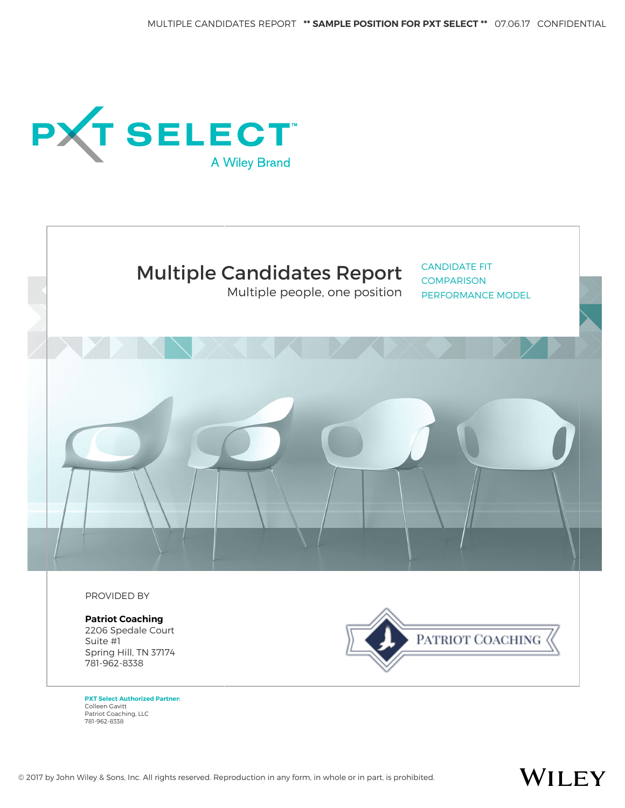



Multiple people, one position

CANDIDATE FIT **COMPARISON** PERFORMANCE MODEL



PROVIDED BY

**Patriot Coaching** 2206 Spedale Court Suite #1 Spring Hill, TN 37174 781-962-8338



WILEY

**PXT Select Authorized Partner:** Colleen Gavitt Patriot Coaching, LLC 781-962-8338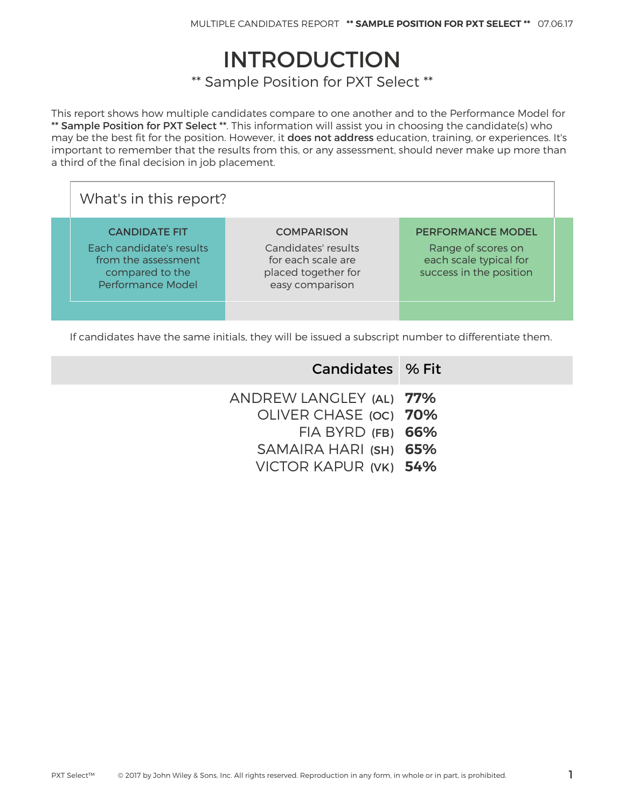## INTRODUCTION

\*\* Sample Position for PXT Select \*\*

This report shows how multiple candidates compare to one another and to the Performance Model for \*\* Sample Position for PXT Select \*\*. This information will assist you in choosing the candidate(s) who may be the best fit for the position. However, it does not address education, training, or experiences. It's important to remember that the results from this, or any assessment, should never make up more than a third of the final decision in job placement.

| What's in this report?                                                                                          |                                                                                                          |                                                                                                     |  |  |  |  |  |
|-----------------------------------------------------------------------------------------------------------------|----------------------------------------------------------------------------------------------------------|-----------------------------------------------------------------------------------------------------|--|--|--|--|--|
| <b>CANDIDATE FIT</b><br>Each candidate's results<br>from the assessment<br>compared to the<br>Performance Model | <b>COMPARISON</b><br>Candidates' results<br>for each scale are<br>placed together for<br>easy comparison | <b>PERFORMANCE MODEL</b><br>Range of scores on<br>each scale typical for<br>success in the position |  |  |  |  |  |
|                                                                                                                 |                                                                                                          |                                                                                                     |  |  |  |  |  |

If candidates have the same initials, they will be issued a subscript number to differentiate them.

| Candidates % Fit                                 |
|--------------------------------------------------|
| ANDREW LANGLEY (AL) 77%<br>OLIVER CHASE (OC) 70% |
| $FIA$ BYRD $(FB)$ 66%                            |
| SAMAIRA HARI (SH) 65%<br>VICTOR KAPUR (VK) 54%   |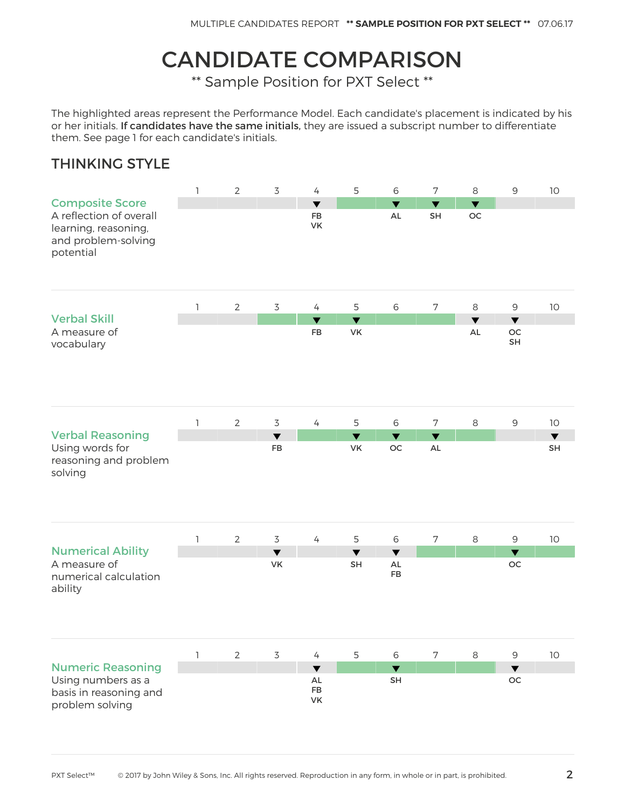# CANDIDATE COMPARISON

\*\* Sample Position for PXT Select \*\*

The highlighted areas represent the Performance Model. Each candidate's placement is indicated by his or her initials. If candidates have the same initials, they are issued a subscript number to differentiate them. See page 1 for each candidate's initials.

#### THINKING STYLE

|                                                                                                               | $\mathbf{1}$ | $\mathbf{2}$   | $\overline{3}$             | $\overline{4}$                             | 5                          | 6                                                   | $\overline{7}$                        | 8                                      | $\mathsf 9$                             | $10$                       |
|---------------------------------------------------------------------------------------------------------------|--------------|----------------|----------------------------|--------------------------------------------|----------------------------|-----------------------------------------------------|---------------------------------------|----------------------------------------|-----------------------------------------|----------------------------|
| <b>Composite Score</b><br>A reflection of overall<br>learning, reasoning,<br>and problem-solving<br>potential |              |                |                            | $\overline{\textbf{v}}$<br><b>FB</b><br>VK |                            | $\overline{\textbf{v}}$<br>AL                       | $\overline{\mathbf{v}}$<br>SH         | $\overline{\mathbf{v}}$<br>$_{\rm OC}$ |                                         |                            |
|                                                                                                               | 1            | $\overline{2}$ | $\overline{3}$             | $\overline{4}$                             | 5                          | $\,$ 6                                              | $\boldsymbol{7}$                      | 8                                      | $\mathsf 9$                             | $10$                       |
| <b>Verbal Skill</b><br>A measure of<br>vocabulary                                                             |              |                |                            | $\overline{\blacktriangledown}$<br>FB      | $\blacktriangledown$<br>VK |                                                     |                                       | $\blacktriangledown$<br>$\mathsf{AL}$  | $\blacktriangledown$<br>OC<br><b>SH</b> |                            |
|                                                                                                               | 1            | $\overline{2}$ | $\overline{3}$             | $\overline{4}$                             | 5                          | $6\,$                                               | $7\phantom{.}$                        | $\,8\,$                                | $\mathsf 9$                             | 10                         |
| <b>Verbal Reasoning</b><br>Using words for<br>reasoning and problem<br>solving                                |              |                | $\blacktriangledown$<br>FB |                                            | $\blacktriangledown$<br>VK | $\blacktriangledown$<br>OC                          | $\blacktriangledown$<br>$\mathsf{AL}$ |                                        |                                         | $\blacktriangledown$<br>SH |
|                                                                                                               | 1            | $\mathbf{2}$   | $\overline{3}$             | $\overline{4}$                             | 5                          | $\,$ 6 $\,$                                         | $\overline{7}$                        | $\,8\,$                                | $\mathsf 9$                             | $10$                       |
| <b>Numerical Ability</b><br>A measure of<br>numerical calculation<br>ability                                  |              |                | $\blacktriangledown$<br>VK |                                            | $\blacktriangledown$<br>SH | $\blacktriangledown$<br>$\mathsf{AL}$<br>${\sf FB}$ |                                       |                                        | $\blacktriangledown$<br>$_{\rm OC}$     |                            |
|                                                                                                               | 1            | $\mathbf{2}$   | $\overline{3}$             | $\overline{4}$                             | 5                          | $\,$ 6 $\,$                                         | $\boldsymbol{7}$                      | $\,8\,$                                | $\mathsf 9$                             | 10                         |
| <b>Numeric Reasoning</b><br>Using numbers as a<br>basis in reasoning and<br>problem solving                   |              |                |                            | $\blacktriangledown$<br>AL<br>FB<br>VK     |                            | $\blacktriangledown$<br><b>SH</b>                   |                                       |                                        | $\blacktriangledown$<br>OC              |                            |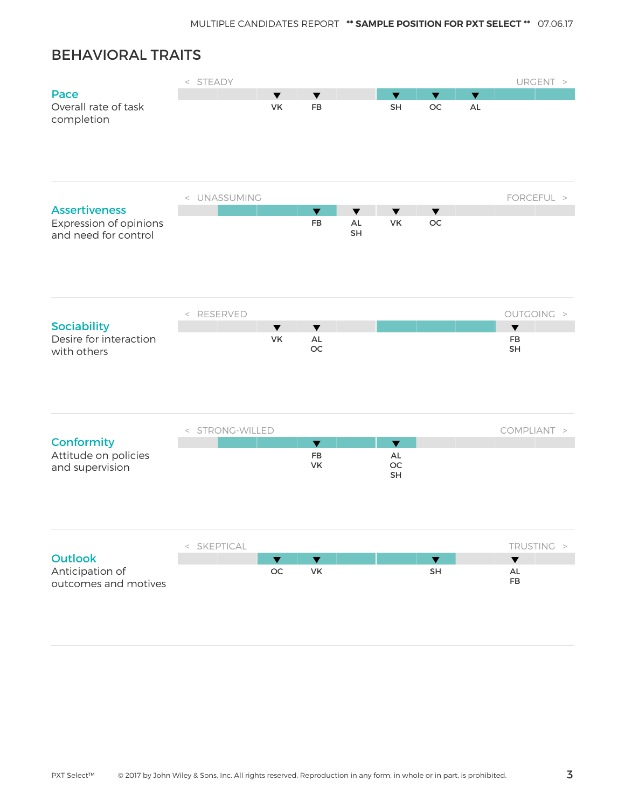## BEHAVIORAL TRAITS

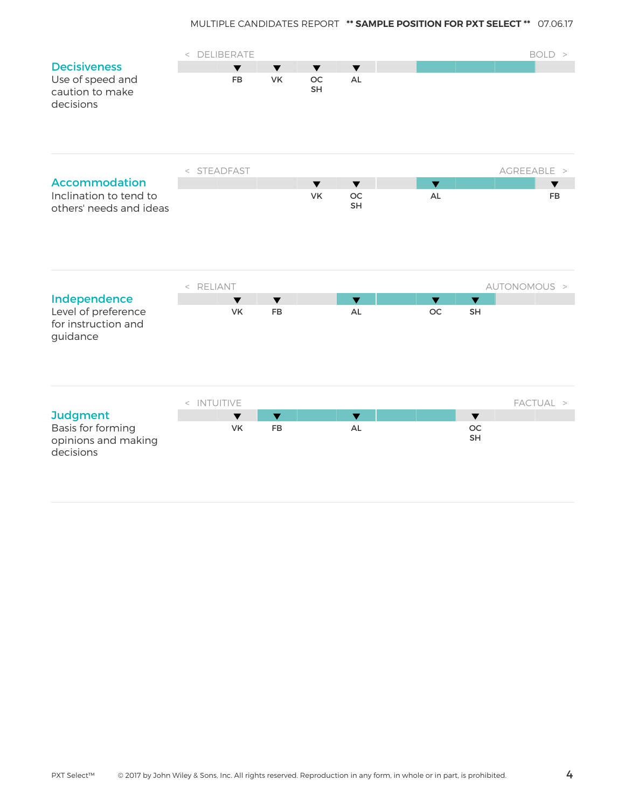|                                                                         | < DELIBERATE |                                                                        |                                         |                                      |                         |                         | BOLD >       |
|-------------------------------------------------------------------------|--------------|------------------------------------------------------------------------|-----------------------------------------|--------------------------------------|-------------------------|-------------------------|--------------|
| <b>Decisiveness</b><br>Use of speed and<br>caution to make<br>decisions |              | $\blacktriangledown$<br>$\blacktriangledown$<br><b>VK</b><br><b>FB</b> | $\blacktriangledown$<br><b>OC</b><br>SH | $\overline{\textbf{v}}$<br><b>AL</b> |                         |                         |              |
|                                                                         | < STEADFAST  |                                                                        |                                         |                                      |                         |                         | AGREEABLE >  |
| <b>Accommodation</b>                                                    |              |                                                                        | $\blacktriangledown$                    | $\blacktriangledown$                 | $\overline{\mathbf{v}}$ |                         | ▼            |
| Inclination to tend to<br>others' needs and ideas                       |              |                                                                        | <b>VK</b>                               | <b>OC</b><br><b>SH</b>               | <b>AL</b>               |                         | <b>FB</b>    |
|                                                                         | < RELIANT    |                                                                        |                                         |                                      |                         |                         | AUTONOMOUS > |
| Independence                                                            |              | $\blacktriangledown$<br>$\blacktriangledown$                           |                                         | $\overline{\textbf{v}}$              | $\overline{\mathbf{v}}$ | $\overline{\textbf{v}}$ |              |
| Level of preference<br>for instruction and<br>guidance                  |              | VK<br>FB                                                               |                                         | AL                                   | OC                      | SH                      |              |
|                                                                         | < INTUITIVE  |                                                                        |                                         |                                      |                         |                         | FACTUAL >    |
| <b>Judgment</b>                                                         |              | $\blacktriangledown$<br>$\blacktriangledown$                           |                                         | $\blacktriangledown$                 |                         | $\blacktriangledown$    |              |
| Basis for forming<br>opinions and making<br>decisions                   |              | <b>VK</b><br>FB                                                        |                                         | AL                                   |                         | <b>OC</b><br>SH         |              |